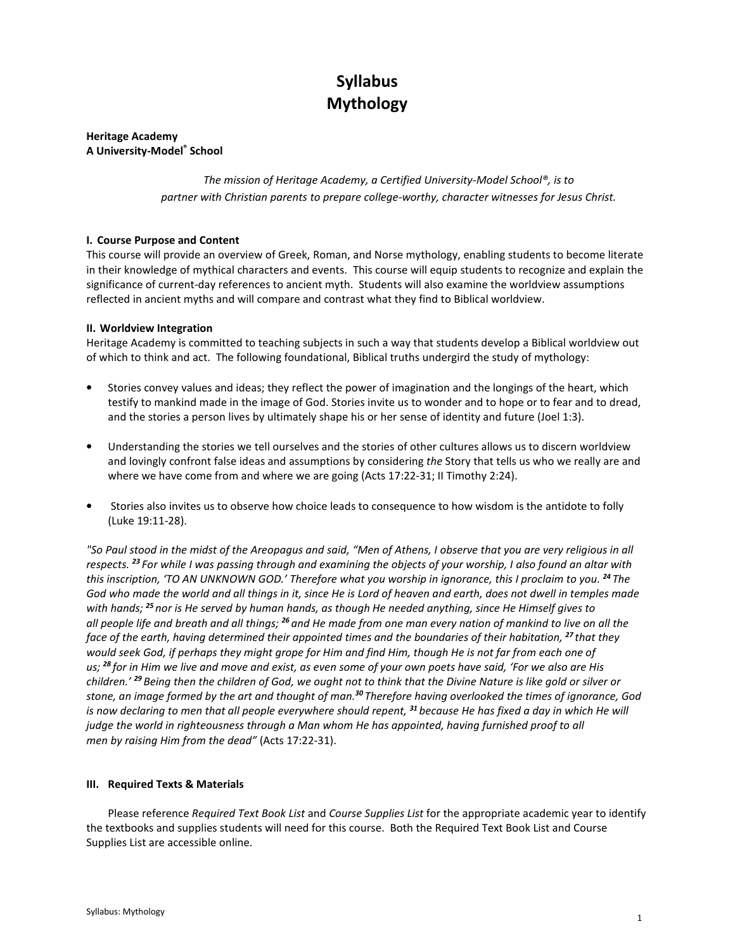# Syllabus Mythology

Heritage Academy A University-Model® School

> The mission of Heritage Academy, a Certified University-Model School®, is to partner with Christian parents to prepare college-worthy, character witnesses for Jesus Christ.

# I. Course Purpose and Content

This course will provide an overview of Greek, Roman, and Norse mythology, enabling students to become literate in their knowledge of mythical characters and events. This course will equip students to recognize and explain the significance of current-day references to ancient myth. Students will also examine the worldview assumptions reflected in ancient myths and will compare and contrast what they find to Biblical worldview.

# II. Worldview Integration

Heritage Academy is committed to teaching subjects in such a way that students develop a Biblical worldview out of which to think and act. The following foundational, Biblical truths undergird the study of mythology:

- Stories convey values and ideas; they reflect the power of imagination and the longings of the heart, which testify to mankind made in the image of God. Stories invite us to wonder and to hope or to fear and to dread, and the stories a person lives by ultimately shape his or her sense of identity and future (Joel 1:3).
- Understanding the stories we tell ourselves and the stories of other cultures allows us to discern worldview and lovingly confront false ideas and assumptions by considering the Story that tells us who we really are and where we have come from and where we are going (Acts 17:22-31; II Timothy 2:24).
- Stories also invites us to observe how choice leads to consequence to how wisdom is the antidote to folly (Luke 19:11-28).

"So Paul stood in the midst of the Areopagus and said, "Men of Athens, I observe that you are very religious in all respects.<sup>23</sup> For while I was passing through and examining the objects of your worship, I also found an altar with this inscription, 'TO AN UNKNOWN GOD.' Therefore what you worship in ignorance, this I proclaim to you. <sup>24</sup> The God who made the world and all things in it, since He is Lord of heaven and earth, does not dwell in temples made with hands; <sup>25</sup> nor is He served by human hands, as though He needed anything, since He Himself gives to all people life and breath and all things; <sup>26</sup> and He made from one man every nation of mankind to live on all the face of the earth, having determined their appointed times and the boundaries of their habitation, <sup>27</sup> that they would seek God, if perhaps they might grope for Him and find Him, though He is not far from each one of us; <sup>28</sup> for in Him we live and move and exist, as even some of your own poets have said, 'For we also are His children.' <sup>29</sup> Being then the children of God, we ought not to think that the Divine Nature is like gold or silver or stone, an image formed by the art and thought of man.<sup>30</sup> Therefore having overlooked the times of ignorance, God is now declaring to men that all people everywhere should repent, <sup>31</sup> because He has fixed a day in which He will judge the world in righteousness through a Man whom He has appointed, having furnished proof to all men by raising Him from the dead" (Acts 17:22-31).

## III. Required Texts & Materials

Please reference Required Text Book List and Course Supplies List for the appropriate academic year to identify the textbooks and supplies students will need for this course. Both the Required Text Book List and Course Supplies List are accessible online.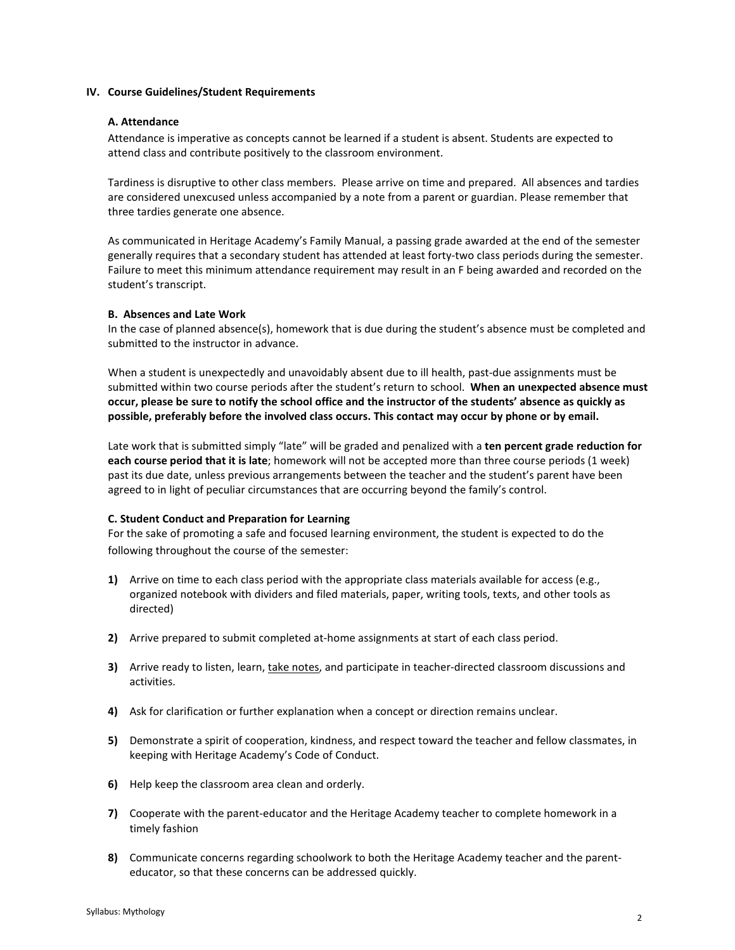## IV. Course Guidelines/Student Requirements

## A. Attendance

Attendance is imperative as concepts cannot be learned if a student is absent. Students are expected to attend class and contribute positively to the classroom environment.

Tardiness is disruptive to other class members. Please arrive on time and prepared. All absences and tardies are considered unexcused unless accompanied by a note from a parent or guardian. Please remember that three tardies generate one absence.

As communicated in Heritage Academy's Family Manual, a passing grade awarded at the end of the semester generally requires that a secondary student has attended at least forty-two class periods during the semester. Failure to meet this minimum attendance requirement may result in an F being awarded and recorded on the student's transcript.

# B. Absences and Late Work

In the case of planned absence(s), homework that is due during the student's absence must be completed and submitted to the instructor in advance.

When a student is unexpectedly and unavoidably absent due to ill health, past-due assignments must be submitted within two course periods after the student's return to school. When an unexpected absence must occur, please be sure to notify the school office and the instructor of the students' absence as quickly as possible, preferably before the involved class occurs. This contact may occur by phone or by email.

Late work that is submitted simply "late" will be graded and penalized with a ten percent grade reduction for each course period that it is late; homework will not be accepted more than three course periods (1 week) past its due date, unless previous arrangements between the teacher and the student's parent have been agreed to in light of peculiar circumstances that are occurring beyond the family's control.

## C. Student Conduct and Preparation for Learning

For the sake of promoting a safe and focused learning environment, the student is expected to do the following throughout the course of the semester:

- 1) Arrive on time to each class period with the appropriate class materials available for access (e.g., organized notebook with dividers and filed materials, paper, writing tools, texts, and other tools as directed)
- 2) Arrive prepared to submit completed at-home assignments at start of each class period.
- 3) Arrive ready to listen, learn, take notes, and participate in teacher-directed classroom discussions and activities.
- 4) Ask for clarification or further explanation when a concept or direction remains unclear.
- 5) Demonstrate a spirit of cooperation, kindness, and respect toward the teacher and fellow classmates, in keeping with Heritage Academy's Code of Conduct.
- 6) Help keep the classroom area clean and orderly.
- 7) Cooperate with the parent-educator and the Heritage Academy teacher to complete homework in a timely fashion
- 8) Communicate concerns regarding schoolwork to both the Heritage Academy teacher and the parenteducator, so that these concerns can be addressed quickly.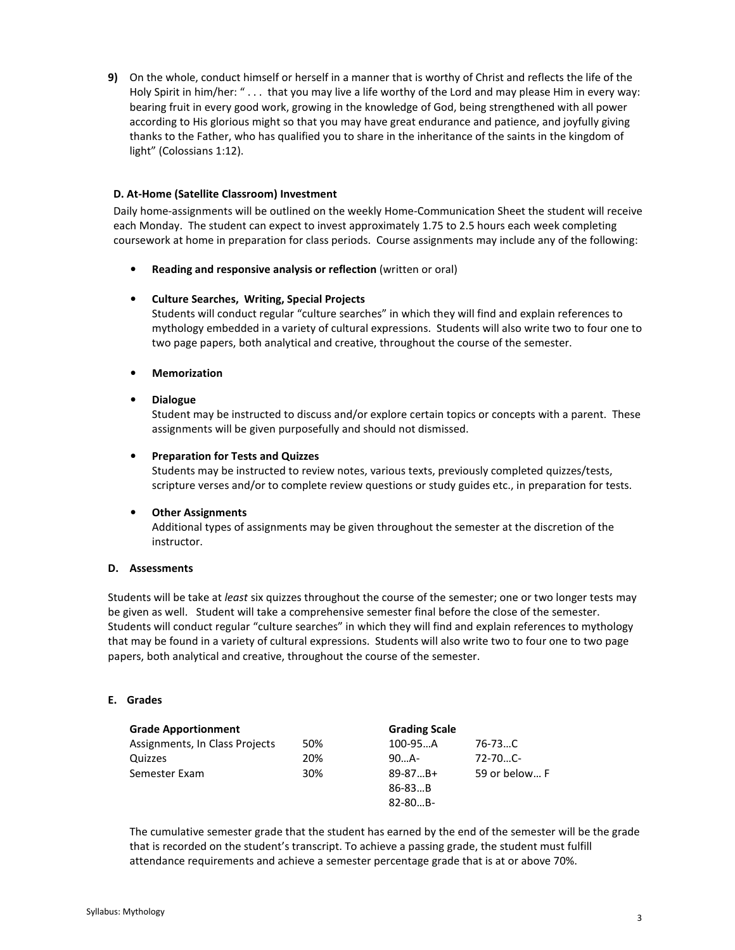9) On the whole, conduct himself or herself in a manner that is worthy of Christ and reflects the life of the Holy Spirit in him/her: " . . . that you may live a life worthy of the Lord and may please Him in every way: bearing fruit in every good work, growing in the knowledge of God, being strengthened with all power according to His glorious might so that you may have great endurance and patience, and joyfully giving thanks to the Father, who has qualified you to share in the inheritance of the saints in the kingdom of light" (Colossians 1:12).

# D. At-Home (Satellite Classroom) Investment

Daily home-assignments will be outlined on the weekly Home-Communication Sheet the student will receive each Monday. The student can expect to invest approximately 1.75 to 2.5 hours each week completing coursework at home in preparation for class periods. Course assignments may include any of the following:

• Reading and responsive analysis or reflection (written or oral)

# • Culture Searches, Writing, Special Projects

Students will conduct regular "culture searches" in which they will find and explain references to mythology embedded in a variety of cultural expressions. Students will also write two to four one to two page papers, both analytical and creative, throughout the course of the semester.

• Memorization

# • Dialogue

Student may be instructed to discuss and/or explore certain topics or concepts with a parent. These assignments will be given purposefully and should not dismissed.

# • Preparation for Tests and Quizzes

Students may be instructed to review notes, various texts, previously completed quizzes/tests, scripture verses and/or to complete review questions or study guides etc., in preparation for tests.

## • Other Assignments

Additional types of assignments may be given throughout the semester at the discretion of the instructor.

# D. Assessments

Students will be take at *least* six quizzes throughout the course of the semester; one or two longer tests may be given as well. Student will take a comprehensive semester final before the close of the semester. Students will conduct regular "culture searches" in which they will find and explain references to mythology that may be found in a variety of cultural expressions. Students will also write two to four one to two page papers, both analytical and creative, throughout the course of the semester.

## E. Grades

| <b>Grade Apportionment</b>     |     | <b>Grading Scale</b> |               |
|--------------------------------|-----|----------------------|---------------|
| Assignments, In Class Projects | 50% | 100-95A              | 76-73C        |
| Quizzes                        | 20% | $90$ A-              | $72 - 70C$    |
| Semester Exam                  | 30% | $89 - 87B +$         | 59 or below F |
|                                |     | $86 - 83B$           |               |
|                                |     | $82 - 80B -$         |               |

The cumulative semester grade that the student has earned by the end of the semester will be the grade that is recorded on the student's transcript. To achieve a passing grade, the student must fulfill attendance requirements and achieve a semester percentage grade that is at or above 70%.